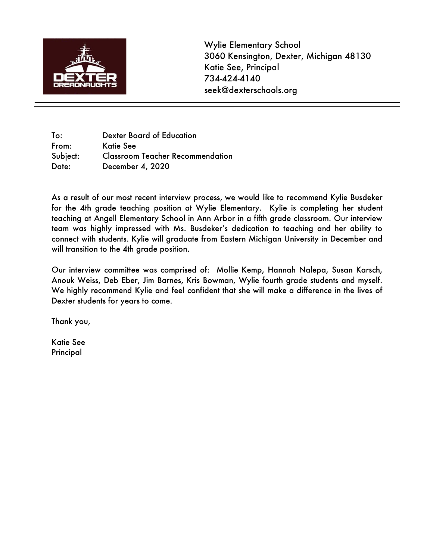

Wylie Elementary School 3060 Kensington, Dexter, Michigan 48130 Katie See, Principal 734-424-4140 seek@dexterschools.org

To: Dexter Board of Education From: Katie See Subject: Classroom Teacher Recommendation Date: December 4, 2020

As a result of our most recent interview process, we would like to recommend Kylie Busdeker for the 4th grade teaching position at Wylie Elementary. Kylie is completing her student teaching at Angell Elementary School in Ann Arbor in a fifth grade classroom. Our interview team was highly impressed with Ms. Busdeker's dedication to teaching and her ability to connect with students. Kylie will graduate from Eastern Michigan University in December and will transition to the 4th grade position.

Our interview committee was comprised of: Mollie Kemp, Hannah Nalepa, Susan Karsch, Anouk Weiss, Deb Eber, Jim Barnes, Kris Bowman, Wylie fourth grade students and myself. We highly recommend Kylie and feel confident that she will make a difference in the lives of Dexter students for years to come.

Thank you,

Katie See Principal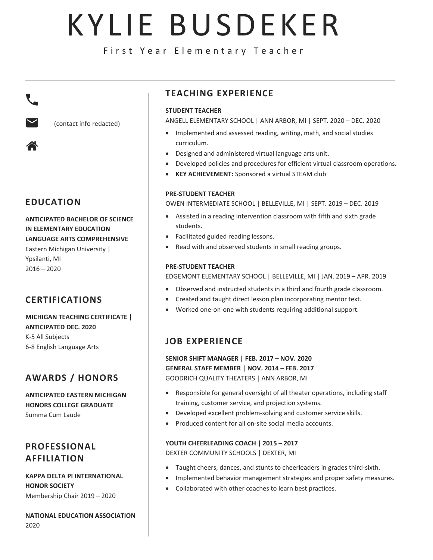# KYLIE BUSDEKER

First Year Elementary Teacher



(contact info redacted)

### **EDUCATION**

#### **ANTICIPATED BACHELOR OF SCIENCE IN ELEMENTARY EDUCATION LANGUAGE ARTS COMPREHENSIVE**

Eastern Michigan University | Ypsilanti, MI  $2016 - 2020$ 

## **CERTIFICATIONS**

#### **MICHIGAN TEACHING CERTIFICATE | ANTICIPATED DEC. 2020** K-5 All Subjects 6-8 English Language Arts

## **AWARDS / HONORS**

**ANTICIPATED EASTERN MICHIGAN HONORS COLLEGE GRADUATE** Summa Cum Laude

## **PROFESSIONAL AFFILIATION**

**KAPPA DELTA PI INTERNATIONAL HONOR SOCIETY**  Membership Chair 2019 – 2020

**NATIONAL EDUCATION ASSOCIATION** 2020

## **TEACHING EXPERIENCE**

#### **STUDENT TEACHER**

ANGELL ELEMENTARY SCHOOL | ANN ARBOR, MI | SEPT. 2020 – DEC. 2020

- Implemented and assessed reading, writing, math, and social studies curriculum.
- Designed and administered virtual language arts unit.
- Developed policies and procedures for efficient virtual classroom operations.
- **KEY ACHIEVEMENT:** Sponsored a virtual STEAM club

#### **PRE-STUDENT TEACHER**

OWEN INTERMEDIATE SCHOOL | BELLEVILLE, MI | SEPT. 2019 – DEC. 2019

- Assisted in a reading intervention classroom with fifth and sixth grade students.
- Facilitated guided reading lessons.
- Read with and observed students in small reading groups.

#### **PRE-STUDENT TEACHER**

EDGEMONT ELEMENTARY SCHOOL | BELLEVILLE, MI | JAN. 2019 – APR. 2019

- Observed and instructed students in a third and fourth grade classroom.
- Created and taught direct lesson plan incorporating mentor text.
- Worked one-on-one with students requiring additional support.

## **JOB EXPERIENCE**

**SENIOR SHIFT MANAGER | FEB. 2017 – NOV. 2020 GENERAL STAFF MEMBER | NOV. 2014 – FEB. 2017** GOODRICH QUALITY THEATERS | ANN ARBOR, MI

- Responsible for general oversight of all theater operations, including staff training, customer service, and projection systems.
- Developed excellent problem-solving and customer service skills.
- Produced content for all on-site social media accounts.

#### **YOUTH CHEERLEADING COACH | 2015 – 2017**

DEXTER COMMUNITY SCHOOLS | DEXTER, MI

- Taught cheers, dances, and stunts to cheerleaders in grades third-sixth.
- Implemented behavior management strategies and proper safety measures.
- Collaborated with other coaches to learn best practices.